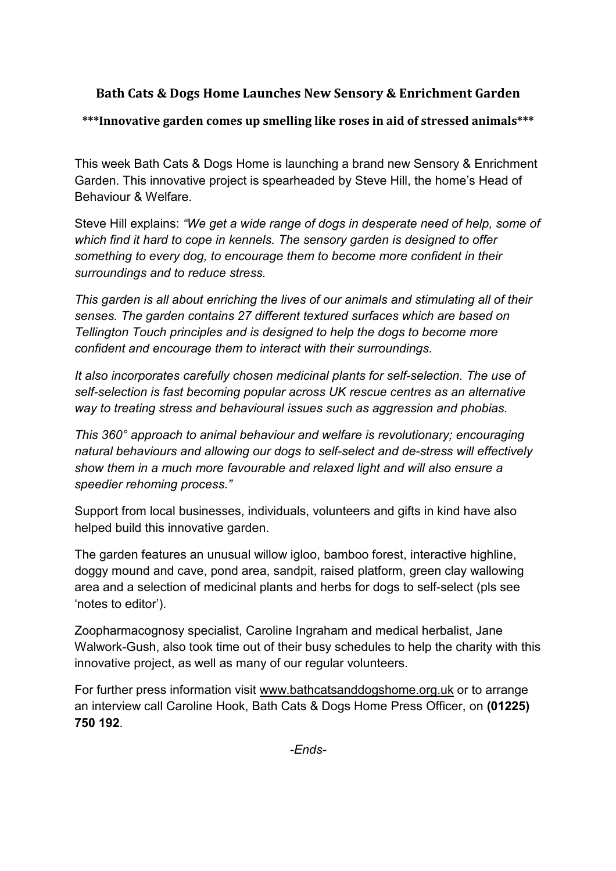# Bath Cats & Dogs Home Launches New Sensory & Enrichment Garden

\*\*\*Innovative garden comes up smelling like roses in aid of stressed animals\*\*\*

This week Bath Cats & Dogs Home is launching a brand new Sensory & Enrichment Garden. This innovative project is spearheaded by Steve Hill, the home's Head of Behaviour & Welfare.

Steve Hill explains: "We get a wide range of dogs in desperate need of help, some of which find it hard to cope in kennels. The sensory garden is designed to offer something to every dog, to encourage them to become more confident in their surroundings and to reduce stress.

This garden is all about enriching the lives of our animals and stimulating all of their senses. The garden contains 27 different textured surfaces which are based on Tellington Touch principles and is designed to help the dogs to become more confident and encourage them to interact with their surroundings.

It also incorporates carefully chosen medicinal plants for self-selection. The use of self-selection is fast becoming popular across UK rescue centres as an alternative way to treating stress and behavioural issues such as aggression and phobias.

This 360° approach to animal behaviour and welfare is revolutionary; encouraging natural behaviours and allowing our dogs to self-select and de-stress will effectively show them in a much more favourable and relaxed light and will also ensure a speedier rehoming process."

Support from local businesses, individuals, volunteers and gifts in kind have also helped build this innovative garden.

The garden features an unusual willow igloo, bamboo forest, interactive highline, doggy mound and cave, pond area, sandpit, raised platform, green clay wallowing area and a selection of medicinal plants and herbs for dogs to self-select (pls see 'notes to editor').

Zoopharmacognosy specialist, Caroline Ingraham and medical herbalist, Jane Walwork-Gush, also took time out of their busy schedules to help the charity with this innovative project, as well as many of our regular volunteers.

For further press information visit www.bathcatsanddogshome.org.uk or to arrange an interview call Caroline Hook, Bath Cats & Dogs Home Press Officer, on (01225) 750 192.

-Ends-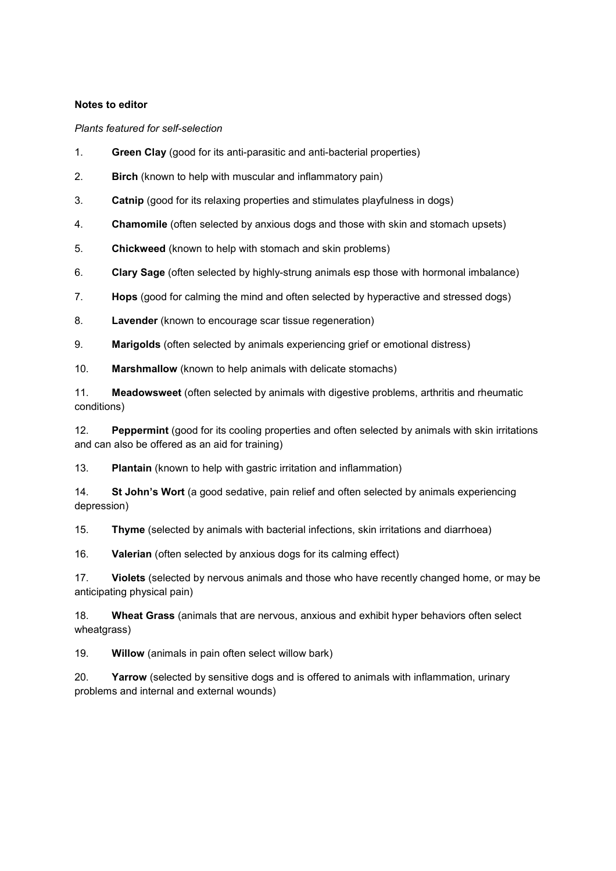#### Notes to editor

Plants featured for self-selection

- 1. Green Clay (good for its anti-parasitic and anti-bacterial properties)
- 2. Birch (known to help with muscular and inflammatory pain)
- 3. Catnip (good for its relaxing properties and stimulates playfulness in dogs)
- 4. Chamomile (often selected by anxious dogs and those with skin and stomach upsets)
- 5. Chickweed (known to help with stomach and skin problems)
- 6. Clary Sage (often selected by highly-strung animals esp those with hormonal imbalance)
- 7. Hops (good for calming the mind and often selected by hyperactive and stressed dogs)
- 8. Lavender (known to encourage scar tissue regeneration)
- 9. Marigolds (often selected by animals experiencing grief or emotional distress)
- 10. Marshmallow (known to help animals with delicate stomachs)

11. Meadowsweet (often selected by animals with digestive problems, arthritis and rheumatic conditions)

12. Peppermint (good for its cooling properties and often selected by animals with skin irritations and can also be offered as an aid for training)

13. Plantain (known to help with gastric irritation and inflammation)

14. St John's Wort (a good sedative, pain relief and often selected by animals experiencing depression)

15. Thyme (selected by animals with bacterial infections, skin irritations and diarrhoea)

16. Valerian (often selected by anxious dogs for its calming effect)

17. Violets (selected by nervous animals and those who have recently changed home, or may be anticipating physical pain)

18. Wheat Grass (animals that are nervous, anxious and exhibit hyper behaviors often select wheatgrass)

19. Willow (animals in pain often select willow bark)

20. Yarrow (selected by sensitive dogs and is offered to animals with inflammation, urinary problems and internal and external wounds)